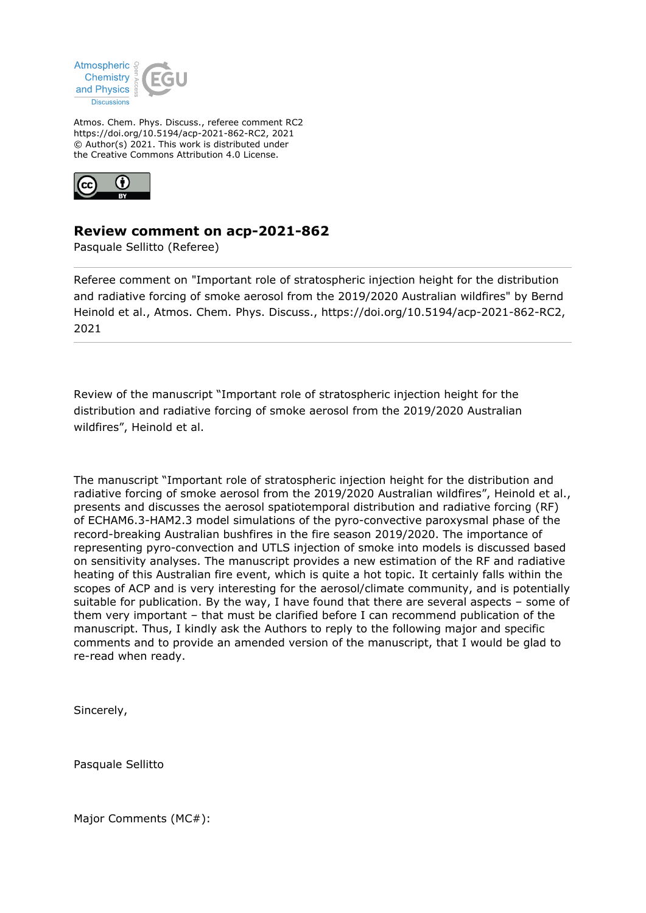

Atmos. Chem. Phys. Discuss., referee comment RC2 https://doi.org/10.5194/acp-2021-862-RC2, 2021 © Author(s) 2021. This work is distributed under the Creative Commons Attribution 4.0 License.



## **Review comment on acp-2021-862**

Pasquale Sellitto (Referee)

Referee comment on "Important role of stratospheric injection height for the distribution and radiative forcing of smoke aerosol from the 2019/2020 Australian wildfires" by Bernd Heinold et al., Atmos. Chem. Phys. Discuss., https://doi.org/10.5194/acp-2021-862-RC2, 2021

Review of the manuscript "Important role of stratospheric injection height for the distribution and radiative forcing of smoke aerosol from the 2019/2020 Australian wildfires", Heinold et al.

The manuscript "Important role of stratospheric injection height for the distribution and radiative forcing of smoke aerosol from the 2019/2020 Australian wildfires", Heinold et al., presents and discusses the aerosol spatiotemporal distribution and radiative forcing (RF) of ECHAM6.3-HAM2.3 model simulations of the pyro-convective paroxysmal phase of the record-breaking Australian bushfires in the fire season 2019/2020. The importance of representing pyro-convection and UTLS injection of smoke into models is discussed based on sensitivity analyses. The manuscript provides a new estimation of the RF and radiative heating of this Australian fire event, which is quite a hot topic. It certainly falls within the scopes of ACP and is very interesting for the aerosol/climate community, and is potentially suitable for publication. By the way, I have found that there are several aspects – some of them very important – that must be clarified before I can recommend publication of the manuscript. Thus, I kindly ask the Authors to reply to the following major and specific comments and to provide an amended version of the manuscript, that I would be glad to re-read when ready.

Sincerely,

Pasquale Sellitto

Major Comments (MC#):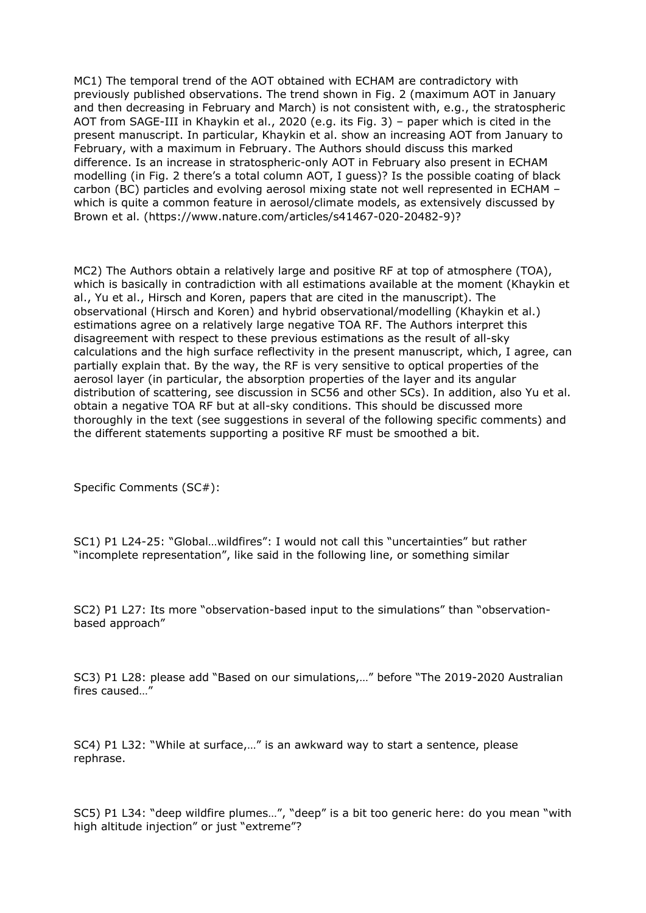MC1) The temporal trend of the AOT obtained with ECHAM are contradictory with previously published observations. The trend shown in Fig. 2 (maximum AOT in January and then decreasing in February and March) is not consistent with, e.g., the stratospheric AOT from SAGE-III in Khaykin et al., 2020 (e.g. its Fig. 3) – paper which is cited in the present manuscript. In particular, Khaykin et al. show an increasing AOT from January to February, with a maximum in February. The Authors should discuss this marked difference. Is an increase in stratospheric-only AOT in February also present in ECHAM modelling (in Fig. 2 there's a total column AOT, I guess)? Is the possible coating of black carbon (BC) particles and evolving aerosol mixing state not well represented in ECHAM – which is quite a common feature in aerosol/climate models, as extensively discussed by Brown et al. (https://www.nature.com/articles/s41467-020-20482-9)?

MC2) The Authors obtain a relatively large and positive RF at top of atmosphere (TOA), which is basically in contradiction with all estimations available at the moment (Khaykin et al., Yu et al., Hirsch and Koren, papers that are cited in the manuscript). The observational (Hirsch and Koren) and hybrid observational/modelling (Khaykin et al.) estimations agree on a relatively large negative TOA RF. The Authors interpret this disagreement with respect to these previous estimations as the result of all-sky calculations and the high surface reflectivity in the present manuscript, which, I agree, can partially explain that. By the way, the RF is very sensitive to optical properties of the aerosol layer (in particular, the absorption properties of the layer and its angular distribution of scattering, see discussion in SC56 and other SCs). In addition, also Yu et al. obtain a negative TOA RF but at all-sky conditions. This should be discussed more thoroughly in the text (see suggestions in several of the following specific comments) and the different statements supporting a positive RF must be smoothed a bit.

Specific Comments (SC#):

SC1) P1 L24-25: "Global…wildfires": I would not call this "uncertainties" but rather "incomplete representation", like said in the following line, or something similar

SC2) P1 L27: Its more "observation-based input to the simulations" than "observationbased approach"

SC3) P1 L28: please add "Based on our simulations,…" before "The 2019-2020 Australian fires caused…"

SC4) P1 L32: "While at surface,…" is an awkward way to start a sentence, please rephrase.

SC5) P1 L34: "deep wildfire plumes…", "deep" is a bit too generic here: do you mean "with high altitude injection" or just "extreme"?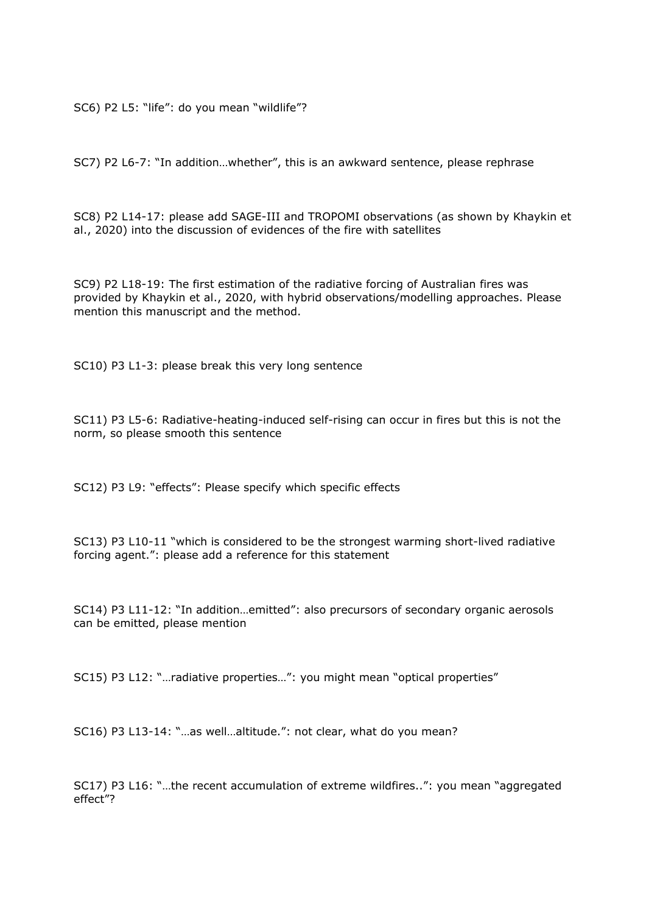SC6) P2 L5: "life": do you mean "wildlife"?

SC7) P2 L6-7: "In addition…whether", this is an awkward sentence, please rephrase

SC8) P2 L14-17: please add SAGE-III and TROPOMI observations (as shown by Khaykin et al., 2020) into the discussion of evidences of the fire with satellites

SC9) P2 L18-19: The first estimation of the radiative forcing of Australian fires was provided by Khaykin et al., 2020, with hybrid observations/modelling approaches. Please mention this manuscript and the method.

SC10) P3 L1-3: please break this very long sentence

SC11) P3 L5-6: Radiative-heating-induced self-rising can occur in fires but this is not the norm, so please smooth this sentence

SC12) P3 L9: "effects": Please specify which specific effects

SC13) P3 L10-11 "which is considered to be the strongest warming short-lived radiative forcing agent.": please add a reference for this statement

SC14) P3 L11-12: "In addition…emitted": also precursors of secondary organic aerosols can be emitted, please mention

SC15) P3 L12: "…radiative properties…": you might mean "optical properties"

SC16) P3 L13-14: "…as well…altitude.": not clear, what do you mean?

SC17) P3 L16: "…the recent accumulation of extreme wildfires..": you mean "aggregated effect"?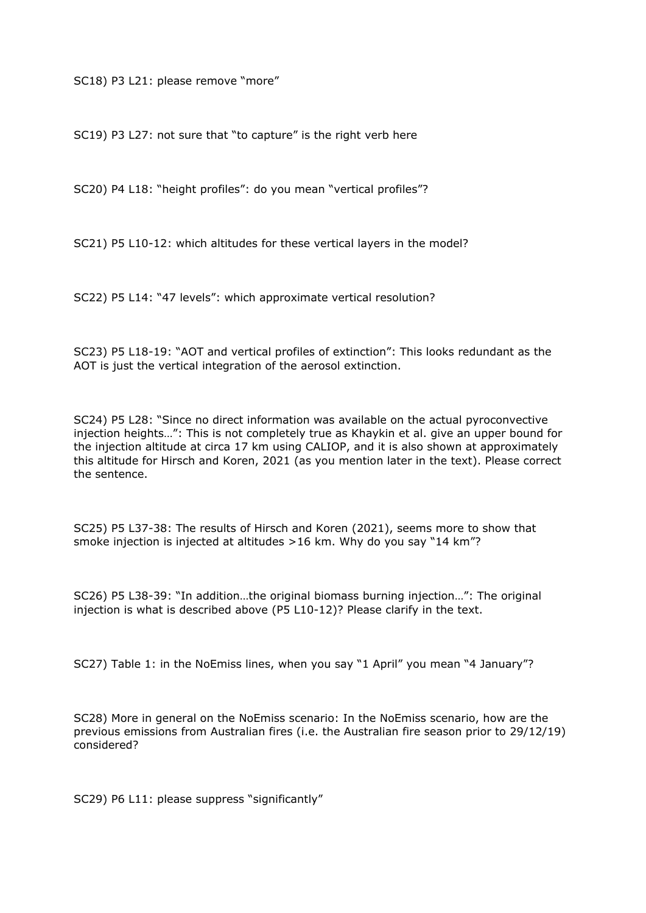SC18) P3 L21: please remove "more"

SC19) P3 L27: not sure that "to capture" is the right verb here

SC20) P4 L18: "height profiles": do you mean "vertical profiles"?

SC21) P5 L10-12: which altitudes for these vertical layers in the model?

SC22) P5 L14: "47 levels": which approximate vertical resolution?

SC23) P5 L18-19: "AOT and vertical profiles of extinction": This looks redundant as the AOT is just the vertical integration of the aerosol extinction.

SC24) P5 L28: "Since no direct information was available on the actual pyroconvective injection heights…": This is not completely true as Khaykin et al. give an upper bound for the injection altitude at circa 17 km using CALIOP, and it is also shown at approximately this altitude for Hirsch and Koren, 2021 (as you mention later in the text). Please correct the sentence.

SC25) P5 L37-38: The results of Hirsch and Koren (2021), seems more to show that smoke injection is injected at altitudes >16 km. Why do you say "14 km"?

SC26) P5 L38-39: "In addition…the original biomass burning injection…": The original injection is what is described above (P5 L10-12)? Please clarify in the text.

SC27) Table 1: in the NoEmiss lines, when you say "1 April" you mean "4 January"?

SC28) More in general on the NoEmiss scenario: In the NoEmiss scenario, how are the previous emissions from Australian fires (i.e. the Australian fire season prior to 29/12/19) considered?

SC29) P6 L11: please suppress "significantly"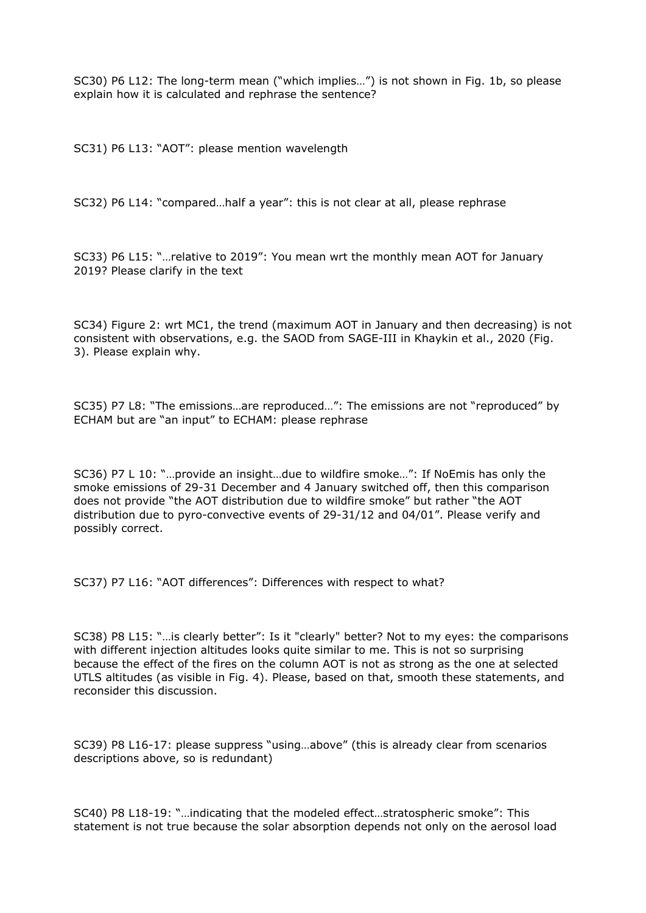SC30) P6 L12: The long-term mean ("which implies…") is not shown in Fig. 1b, so please explain how it is calculated and rephrase the sentence?

SC31) P6 L13: "AOT": please mention wavelength

SC32) P6 L14: "compared…half a year": this is not clear at all, please rephrase

SC33) P6 L15: "…relative to 2019": You mean wrt the monthly mean AOT for January 2019? Please clarify in the text

SC34) Figure 2: wrt MC1, the trend (maximum AOT in January and then decreasing) is not consistent with observations, e.g. the SAOD from SAGE-III in Khaykin et al., 2020 (Fig. 3). Please explain why.

SC35) P7 L8: "The emissions…are reproduced…": The emissions are not "reproduced" by ECHAM but are "an input" to ECHAM: please rephrase

SC36) P7 L 10: "…provide an insight…due to wildfire smoke…": If NoEmis has only the smoke emissions of 29-31 December and 4 January switched off, then this comparison does not provide "the AOT distribution due to wildfire smoke" but rather "the AOT distribution due to pyro-convective events of 29-31/12 and 04/01". Please verify and possibly correct.

SC37) P7 L16: "AOT differences": Differences with respect to what?

SC38) P8 L15: "…is clearly better": Is it "clearly" better? Not to my eyes: the comparisons with different injection altitudes looks quite similar to me. This is not so surprising because the effect of the fires on the column AOT is not as strong as the one at selected UTLS altitudes (as visible in Fig. 4). Please, based on that, smooth these statements, and reconsider this discussion.

SC39) P8 L16-17: please suppress "using…above" (this is already clear from scenarios descriptions above, so is redundant)

SC40) P8 L18-19: "…indicating that the modeled effect…stratospheric smoke": This statement is not true because the solar absorption depends not only on the aerosol load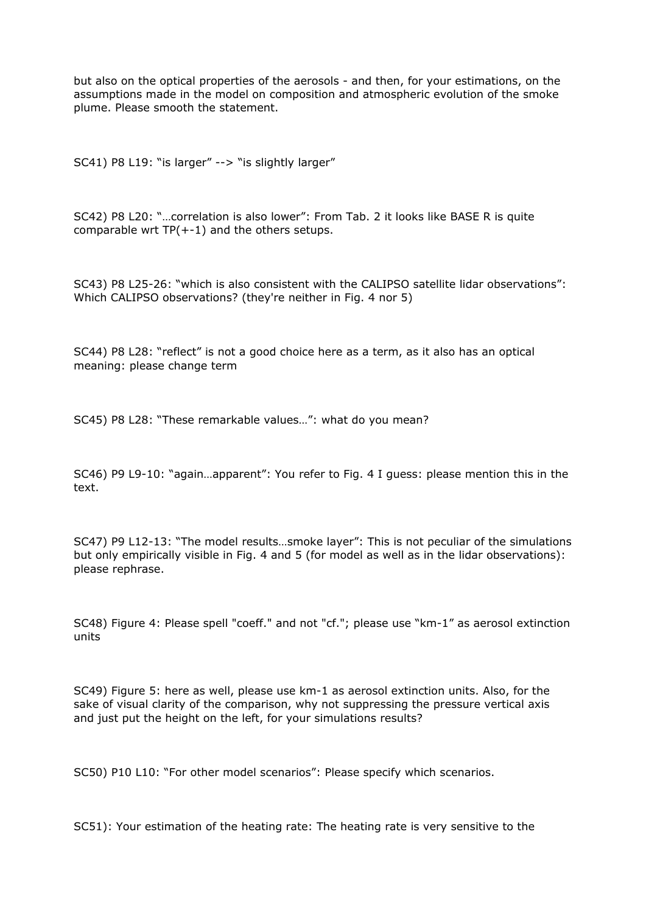but also on the optical properties of the aerosols - and then, for your estimations, on the assumptions made in the model on composition and atmospheric evolution of the smoke plume. Please smooth the statement.

SC41) P8 L19: "is larger" --> "is slightly larger"

SC42) P8 L20: "…correlation is also lower": From Tab. 2 it looks like BASE R is quite comparable wrt  $TP(+-1)$  and the others setups.

SC43) P8 L25-26: "which is also consistent with the CALIPSO satellite lidar observations": Which CALIPSO observations? (they're neither in Fig. 4 nor 5)

SC44) P8 L28: "reflect" is not a good choice here as a term, as it also has an optical meaning: please change term

SC45) P8 L28: "These remarkable values…": what do you mean?

SC46) P9 L9-10: "again…apparent": You refer to Fig. 4 I guess: please mention this in the text.

SC47) P9 L12-13: "The model results…smoke layer": This is not peculiar of the simulations but only empirically visible in Fig. 4 and 5 (for model as well as in the lidar observations): please rephrase.

SC48) Figure 4: Please spell "coeff." and not "cf."; please use "km-1" as aerosol extinction units

SC49) Figure 5: here as well, please use km-1 as aerosol extinction units. Also, for the sake of visual clarity of the comparison, why not suppressing the pressure vertical axis and just put the height on the left, for your simulations results?

SC50) P10 L10: "For other model scenarios": Please specify which scenarios.

SC51): Your estimation of the heating rate: The heating rate is very sensitive to the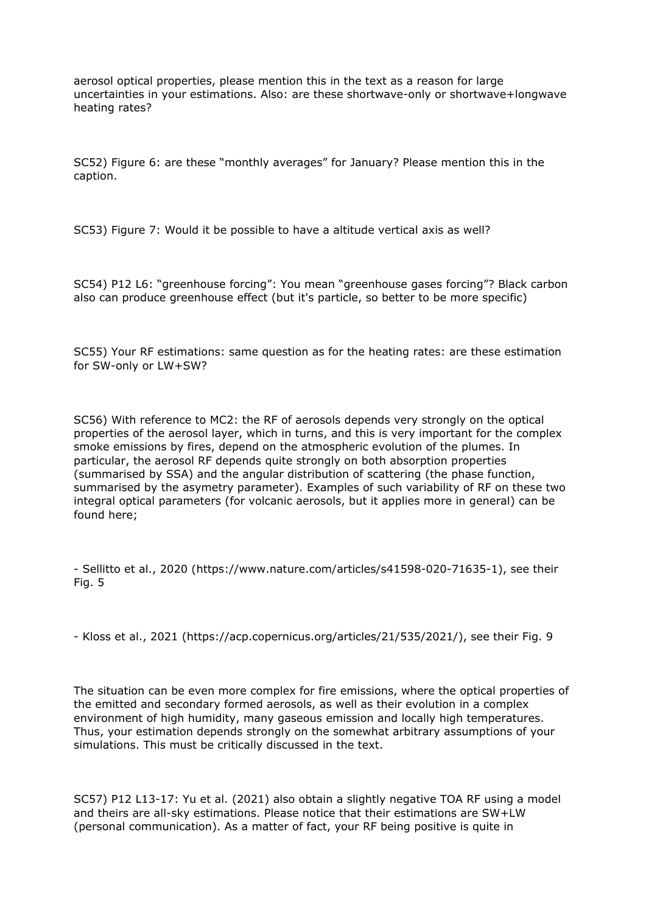aerosol optical properties, please mention this in the text as a reason for large uncertainties in your estimations. Also: are these shortwave-only or shortwave+longwave heating rates?

SC52) Figure 6: are these "monthly averages" for January? Please mention this in the caption.

SC53) Figure 7: Would it be possible to have a altitude vertical axis as well?

SC54) P12 L6: "greenhouse forcing": You mean "greenhouse gases forcing"? Black carbon also can produce greenhouse effect (but it's particle, so better to be more specific)

SC55) Your RF estimations: same question as for the heating rates: are these estimation for SW-only or LW+SW?

SC56) With reference to MC2: the RF of aerosols depends very strongly on the optical properties of the aerosol layer, which in turns, and this is very important for the complex smoke emissions by fires, depend on the atmospheric evolution of the plumes. In particular, the aerosol RF depends quite strongly on both absorption properties (summarised by SSA) and the angular distribution of scattering (the phase function, summarised by the asymetry parameter). Examples of such variability of RF on these two integral optical parameters (for volcanic aerosols, but it applies more in general) can be found here;

- Sellitto et al., 2020 (https://www.nature.com/articles/s41598-020-71635-1), see their Fig. 5

- Kloss et al., 2021 (https://acp.copernicus.org/articles/21/535/2021/), see their Fig. 9

The situation can be even more complex for fire emissions, where the optical properties of the emitted and secondary formed aerosols, as well as their evolution in a complex environment of high humidity, many gaseous emission and locally high temperatures. Thus, your estimation depends strongly on the somewhat arbitrary assumptions of your simulations. This must be critically discussed in the text.

SC57) P12 L13-17: Yu et al. (2021) also obtain a slightly negative TOA RF using a model and theirs are all-sky estimations. Please notice that their estimations are SW+LW (personal communication). As a matter of fact, your RF being positive is quite in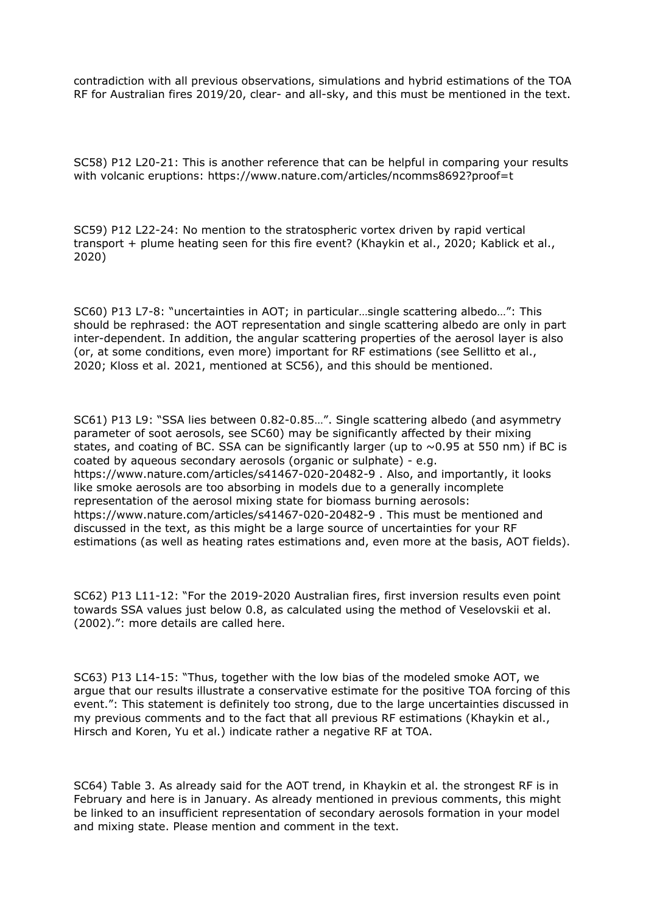contradiction with all previous observations, simulations and hybrid estimations of the TOA RF for Australian fires 2019/20, clear- and all-sky, and this must be mentioned in the text.

SC58) P12 L20-21: This is another reference that can be helpful in comparing your results with volcanic eruptions: https://www.nature.com/articles/ncomms8692?proof=t

SC59) P12 L22-24: No mention to the stratospheric vortex driven by rapid vertical transport + plume heating seen for this fire event? (Khaykin et al., 2020; Kablick et al., 2020)

SC60) P13 L7-8: "uncertainties in AOT; in particular…single scattering albedo…": This should be rephrased: the AOT representation and single scattering albedo are only in part inter-dependent. In addition, the angular scattering properties of the aerosol layer is also (or, at some conditions, even more) important for RF estimations (see Sellitto et al., 2020; Kloss et al. 2021, mentioned at SC56), and this should be mentioned.

SC61) P13 L9: "SSA lies between 0.82-0.85…". Single scattering albedo (and asymmetry parameter of soot aerosols, see SC60) may be significantly affected by their mixing states, and coating of BC. SSA can be significantly larger (up to  $\sim$  0.95 at 550 nm) if BC is coated by aqueous secondary aerosols (organic or sulphate) - e.g. https://www.nature.com/articles/s41467-020-20482-9 . Also, and importantly, it looks like smoke aerosols are too absorbing in models due to a generally incomplete representation of the aerosol mixing state for biomass burning aerosols: https://www.nature.com/articles/s41467-020-20482-9 . This must be mentioned and discussed in the text, as this might be a large source of uncertainties for your RF estimations (as well as heating rates estimations and, even more at the basis, AOT fields).

SC62) P13 L11-12: "For the 2019-2020 Australian fires, first inversion results even point towards SSA values just below 0.8, as calculated using the method of Veselovskii et al. (2002).": more details are called here.

SC63) P13 L14-15: "Thus, together with the low bias of the modeled smoke AOT, we argue that our results illustrate a conservative estimate for the positive TOA forcing of this event.": This statement is definitely too strong, due to the large uncertainties discussed in my previous comments and to the fact that all previous RF estimations (Khaykin et al., Hirsch and Koren, Yu et al.) indicate rather a negative RF at TOA.

SC64) Table 3. As already said for the AOT trend, in Khaykin et al. the strongest RF is in February and here is in January. As already mentioned in previous comments, this might be linked to an insufficient representation of secondary aerosols formation in your model and mixing state. Please mention and comment in the text.